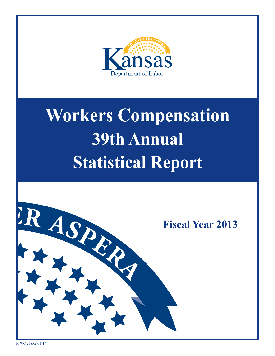

# **Workers Compensation 36th Annual 39th Annual Statistical Report Workers Compensation Statistical Report**

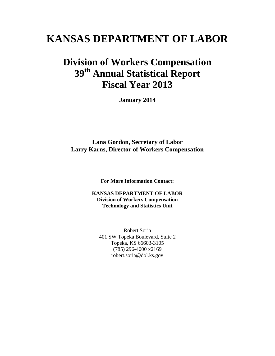# **KANSAS DEPARTMENT OF LABOR**

# **Division of Workers Compensation 39th Annual Statistical Report Fiscal Year 2013**

**January 2014**

**Lana Gordon, Secretary of Labor Larry Karns, Director of Workers Compensation**

**For More Information Contact:**

**KANSAS DEPARTMENT OF LABOR Division of Workers Compensation Technology and Statistics Unit**

Robert Soria 401 SW Topeka Boulevard, Suite 2 Topeka, KS 66603-3105 (785) 296-4000 x2169 robert.soria@dol.ks.gov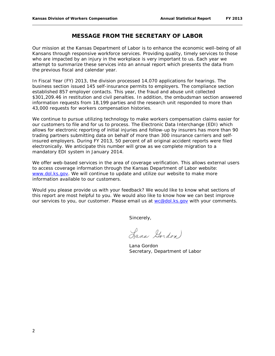## **MESSAGE FROM THE SECRETARY OF LABOR**

Our mission at the Kansas Department of Labor is to enhance the economic well-being of all Kansans through responsive workforce services. Providing quality, timely services to those who are impacted by an injury in the workplace is very important to us. Each year we attempt to summarize these services into an annual report which presents the data from the previous fiscal and calendar year.

In Fiscal Year (FY) 2013, the division processed 14,070 applications for hearings. The business section issued 145 self-insurance permits to employers. The compliance section established 857 employer contacts. This year, the fraud and abuse unit collected \$301,209.46 in restitution and civil penalties. In addition, the ombudsman section answered information requests from 18,199 parties and the research unit responded to more than 43,000 requests for workers compensation histories.

We continue to pursue utilizing technology to make workers compensation claims easier for our customers to file and for us to process. The Electronic Data Interchange (EDI) which allows for electronic reporting of initial injuries and follow-up by insurers has more than 90 trading partners submitting data on behalf of more than 300 insurance carriers and selfinsured employers. During FY 2013, 50 percent of all original accident reports were filed electronically. We anticipate this number will grow as we complete migration to a mandatory EDI system in January 2014.

We offer web-based services in the area of coverage verification. This allows external users to access coverage information through the Kansas Department of Labor website: [www.dol.ks.gov.](http://www.dol.ks.gov/) We will continue to update and utilize our website to make more information available to our customers.

Would you please provide us with your feedback? We would like to know what sections of this report are most helpful to you. We would also like to know how we can best improve our services to you, our customer. Please email us at [wc@dol.ks.gov](mailto:wc@dol.ks.gov) with your comments.

Sincerely,

Lana Gordon)

Lana Gordon Secretary, Department of Labor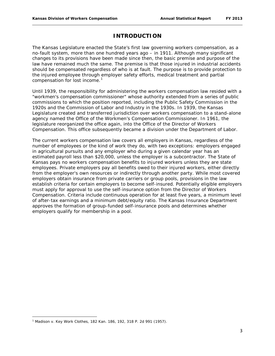# **INTRODUCTION**

The Kansas Legislature enacted the State's first law governing workers compensation, as a no-fault system, more than one hundred years ago – in 1911. Although many significant changes to its provisions have been made since then, the basic premise and purpose of the law have remained much the same. The premise is that those injured in industrial accidents should be compensated regardless of who is at fault. The purpose is to provide protection to the injured employee through employer safety efforts, medical treatment and partial compensation for lost income.<sup>[1](#page-3-0)</sup>

Until 1939, the responsibility for administering the workers compensation law resided with a "workmen's compensation commissioner" whose authority extended from a series of public commissions to which the position reported, including the Public Safety Commission in the 1920s and the Commission of Labor and Industry in the 1930s. In 1939, the Kansas Legislature created and transferred jurisdiction over workers compensation to a stand-alone agency named the Office of the Workmen's Compensation Commissioner. In 1961, the legislature reorganized the office again, into the Office of the Director of Workers Compensation. This office subsequently became a division under the Department of Labor.

The current workers compensation law covers all employers in Kansas, regardless of the number of employees or the kind of work they do, with two exceptions: employers engaged in agricultural pursuits and any employer who during a given calendar year has an estimated payroll less than \$20,000, unless the employer is a subcontractor. The State of Kansas pays no workers compensation benefits to injured workers unless they are state employees. Private employers pay all benefits owed to their injured workers, either directly from the employer's own resources or indirectly through another party. While most covered employers obtain insurance from private carriers or group pools, provisions in the law establish criteria for certain employers to become self-insured. Potentially eligible employers must apply for approval to use the self-insurance option from the Director of Workers Compensation. Criteria include continuous operation for at least five years, a minimum level of after-tax earnings and a minimum debt/equity ratio. The Kansas Insurance Department approves the formation of group-funded self-insurance pools and determines whether employers qualify for membership in a pool.

 $\overline{\phantom{a}}$ 

<span id="page-3-0"></span><sup>1</sup> Madison v. Key Work Clothes, 182 Kan. 186, 192, 318 P. 2d 991 (1957).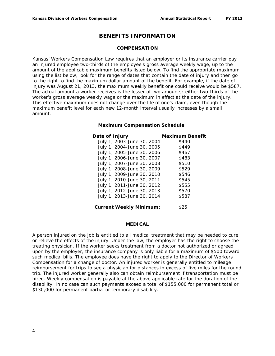## **BENEFITS INFORMATION**

#### **COMPENSATION**

Kansas' Workers Compensation Law requires that an employer or its insurance carrier pay an injured employee two-thirds of the employee's gross average weekly wage, up to the amount of the applicable maximum benefits listed below. To find the appropriate maximum using the list below, look for the range of dates that contain the date of injury and then go to the right to find the maximum dollar amount of the benefit. For example, if the date of injury was August 21, 2013, the maximum weekly benefit one could receive would be \$587. The actual amount a worker receives is the lesser of two amounts: either two-thirds of the worker's gross average weekly wage or the maximum in effect at the date of the injury. This effective maximum does not change over the life of one's claim, even though the maximum benefit level for each new 12-month interval usually increases by a small amount.

#### **Maximum Compensation Schedule**

| Date of Injury                 | <b>Maximum Benefit</b> |
|--------------------------------|------------------------|
| July 1, 2003-June 30, 2004     | \$440                  |
| July 1, 2004-June 30, 2005     | \$449                  |
| July 1, 2005-June 30, 2006     | \$467                  |
| July 1, 2006-June 30, 2007     | \$483                  |
| July 1, 2007-June 30, 2008     | \$510                  |
| July 1, 2008-June 30, 2009     | \$529                  |
| July 1, 2009-June 30, 2010     | \$546                  |
| July 1, 2010-June 30, 2011     | \$545                  |
| July 1, 2011-June 30, 2012     | \$555                  |
| July 1, 2012-June 30, 2013     | \$570                  |
| July 1, 2013-June 30, 2014     | \$587                  |
| <b>Current Weekly Minimum:</b> | \$25                   |

#### **MEDICAL**

A person injured on the job is entitled to all medical treatment that may be needed to cure or relieve the effects of the injury. Under the law, the employer has the right to choose the treating physician. If the worker seeks treatment from a doctor not authorized or agreed upon by the employer, the insurance company is only liable for a maximum of \$500 toward such medical bills. The employee does have the right to apply to the Director of Workers Compensation for a change of doctor. An injured worker is generally entitled to mileage reimbursement for trips to see a physician for distances in excess of five miles for the round trip. The injured worker generally also can obtain reimbursement if transportation must be hired. Weekly compensation is payable at the above applicable rate for the duration of the disability. In no case can such payments exceed a total of \$155,000 for permanent total or \$130,000 for permanent partial or temporary disability.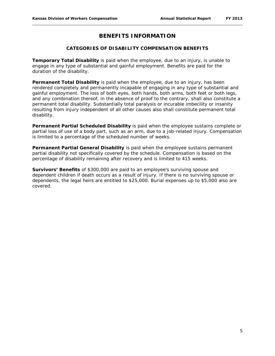# **BENEFITS INFORMATION**

#### **CATEGORIES OF DISABILITY COMPENSATION BENEFITS**

**Temporary Total Disability** is paid when the employee, due to an injury, is unable to engage in any type of substantial and gainful employment. Benefits are paid for the duration of the disability.

**Permanent Total Disability** is paid when the employee, due to an injury, has been rendered completely and permanently incapable of engaging in any type of substantial and gainful employment. The loss of both eyes, both hands, both arms, both feet or both legs, and any combination thereof, in the absence of proof to the contrary, shall also constitute a permanent total disability. Substantially total paralysis or incurable imbecility or insanity resulting from injury independent of all other causes also shall constitute permanent total disability.

**Permanent Partial Scheduled Disability** is paid when the employee sustains complete or partial loss of use of a body part, such as an arm, due to a job-related injury. Compensation is limited to a percentage of the scheduled number of weeks.

**Permanent Partial General Disability** is paid when the employee sustains permanent partial disability not specifically covered by the schedule. Compensation is based on the percentage of disability remaining after recovery and is limited to 415 weeks.

**Survivors' Benefits** of \$300,000 are paid to an employee's surviving spouse and dependent children if death occurs as a result of injury. If there is no surviving spouse or dependents, the legal heirs are entitled to \$25,000. Burial expenses up to \$5,000 also are covered.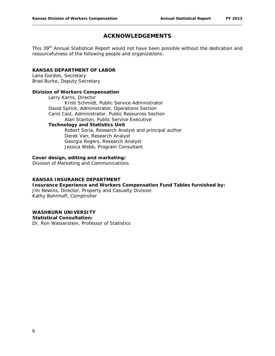# **ACKNOWLEDGEMENTS**

This 39<sup>th</sup> Annual Statistical Report would not have been possible without the dedication and resourcefulness of the following people and organizations:

#### **KANSAS DEPARTMENT OF LABOR**

Lana Gordon, Secretary Brad Burke, Deputy Secretary

#### **Division of Workers Compensation**

Larry Karns, Director Kristi Schmidt, Public Service Administrator David Sprick, Administrator, Operations Section Carol Cast, Administrator, Public Resources Section Alan Stanton, Public Service Executive **Technology and Statistics Unit**

Robert Soria, Research Analyst and principal author Derek Van, Research Analyst Georgia Rogers, Research Analyst Jessica Webb, Program Consultant

#### **Cover design, editing and marketing:**

Division of Marketing and Communications

#### **KANSAS INSURANCE DEPARTMENT**

**Insurance Experience and Workers Compensation Fund Tables furnished by:**

Jim Newins, Director, Property and Casualty Division Kathy Bohnhoff, Comptroller

#### **WASHBURN UNIVERSITY**

**Statistical Consultation:**

Dr. Ron Wasserstein, Professor of Statistics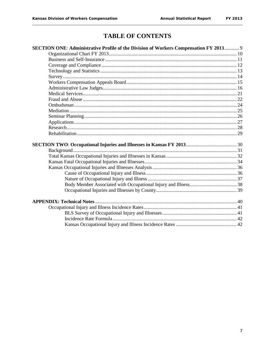# **TABLE OF CONTENTS**

| SECTION ONE: Administrative Profile of the Division of Workers Compensation FY 2013 9 |  |
|---------------------------------------------------------------------------------------|--|
|                                                                                       |  |
|                                                                                       |  |
|                                                                                       |  |
|                                                                                       |  |
|                                                                                       |  |
|                                                                                       |  |
|                                                                                       |  |
|                                                                                       |  |
|                                                                                       |  |
|                                                                                       |  |
|                                                                                       |  |
|                                                                                       |  |
|                                                                                       |  |
|                                                                                       |  |
|                                                                                       |  |
|                                                                                       |  |
|                                                                                       |  |
|                                                                                       |  |
|                                                                                       |  |
|                                                                                       |  |
|                                                                                       |  |
|                                                                                       |  |
|                                                                                       |  |
|                                                                                       |  |
|                                                                                       |  |
|                                                                                       |  |
|                                                                                       |  |
|                                                                                       |  |
|                                                                                       |  |
|                                                                                       |  |
|                                                                                       |  |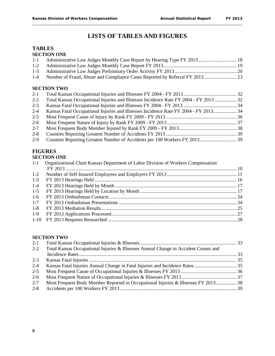# **LISTS OF TABLES AND FIGURES**

#### **TABLES SECTION ONE**

| $1 - 1$ | Administrative Law Judges Monthly Case Report by Hearing Type FY 2013 18             |  |
|---------|--------------------------------------------------------------------------------------|--|
| $1 - 2$ |                                                                                      |  |
| $1 - 3$ |                                                                                      |  |
| $1-4$   |                                                                                      |  |
| $2 - 1$ | <b>SECTION TWO</b>                                                                   |  |
| $2 - 2$ | Total Kansas Occupational Injuries and Illnesses Incidence Rate FY 2004 - FY 2013 32 |  |
| $2 - 3$ |                                                                                      |  |
| $2 - 4$ | Kansas Fatal Occupational Injuries and Illnesses Incidence Rate FY 2004 - FY 2013 34 |  |
|         |                                                                                      |  |

- 2-5 Most Frequent Cause of Injury by Rank FY 2009 FY 2013 ......................................................... 36 2-6 Most Frequent Nature of Injury by Rank FY 2009 - FY 2013 ........................................................ 37
- 2-7 Most Frequent Body Member Injured by Rank FY 2009 FY 2013 .............................................. 38
- 2-8 Counties Reporting Greatest Number of Accidents FY 2013 ......................................................... 39
- 2-9 Counties Reporting Greatest Number of Accidents per 100 Workers FY 2013.............................. 39

# **FIGURES**

#### **SECTION ONE**

| $1-1$   | Organizational Chart Kansas Department of Labor Division of Workers Compensation |  |
|---------|----------------------------------------------------------------------------------|--|
|         |                                                                                  |  |
| $1 - 2$ |                                                                                  |  |
| $1 - 3$ |                                                                                  |  |
| $1 - 4$ |                                                                                  |  |
| $1 - 5$ |                                                                                  |  |
| $1-6$   |                                                                                  |  |
| $1 - 7$ |                                                                                  |  |
| $1 - 8$ |                                                                                  |  |
| $1-9$   |                                                                                  |  |
|         |                                                                                  |  |

#### **SECTION TWO**

| $2-1$   |                                                                                     |  |
|---------|-------------------------------------------------------------------------------------|--|
| $2 - 2$ | Total Kansas Occupational Injuries & Illnesses Annual Change in Accident Counts and |  |
|         |                                                                                     |  |
| $2 - 3$ |                                                                                     |  |
| $2 - 4$ |                                                                                     |  |
| $2 - 5$ |                                                                                     |  |
| $2 - 6$ |                                                                                     |  |
| $2 - 7$ | Most Frequent Body Member Reported in Occupational Injuries & Illnesses FY 2013 38  |  |
| $2 - 8$ |                                                                                     |  |
|         |                                                                                     |  |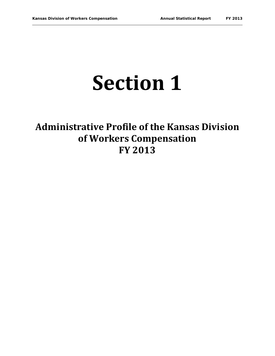# **Section 1**

# **Administrative Profile of the Kansas Division of Workers Compensation FY 2013**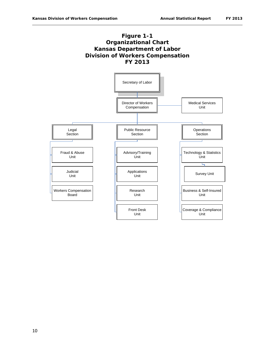

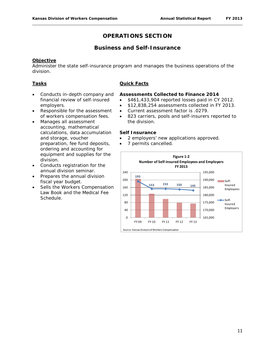# **Business and Self-Insurance**

#### **Objective**

Administer the state self-insurance program and manages the business operations of the division.

#### **Tasks**

- Conducts in-depth company and financial review of self-insured employers.
- Responsible for the assessment of workers compensation fees.
- Manages all assessment accounting, mathematical calculations, data accumulation and storage, voucher preparation, fee fund deposits, ordering and accounting for equipment and supplies for the division.
- Conducts registration for the annual division seminar.
- Prepares the annual division fiscal year budget.
- Sells the Workers Compensation Law Book and the Medical Fee Schedule.

#### **Quick Facts**

#### **Assessments Collected to Finance 2014**

- \$461,433,904 reported losses paid in CY 2012.
- \$12,838,254 assessments collected in FY 2013.
- Current assessment factor is .0279.
- 823 carriers, pools and self-insurers reported to the division.

#### **Self Insurance**

- 2 employers' new applications approved.
- 7 permits cancelled.

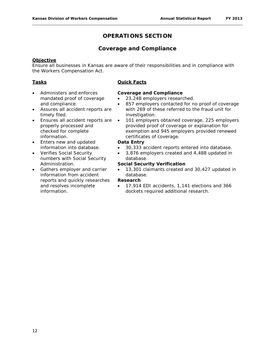# **Coverage and Compliance**

#### **Objective**

Ensure all businesses in Kansas are aware of their responsibilities and in compliance with the Workers Compensation Act.

#### **Tasks**

- Administers and enforces mandated proof of coverage and compliance.
- Assures all accident reports are timely filed.
- Ensures all accident reports are properly processed and checked for complete information.
- Enters new and updated information into database.
- Verifies Social Security numbers with Social Security Administration.
- Gathers employer and carrier information from accident reports and quickly researches and resolves incomplete information.

#### **Quick Facts**

#### **Coverage and Compliance**

- 23,248 employers researched.
- 857 employers contacted for no proof of coverage with 269 of these referred to the fraud unit for investigation.
- 101 employers obtained coverage, 225 employers provided proof of coverage or explanation for exemption and 945 employers provided renewed certificates of coverage.

#### **Data Entry**

- 30,333 accident reports entered into database.
- 3,876 employers created and 4,488 updated in database.

#### **Social Security Verification**

• 13,301 claimants created and 30,427 updated in database.

#### **Research**

• 17,914 EDI accidents, 1,141 elections and 366 dockets required additional research.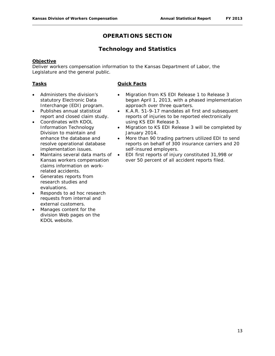# **Technology and Statistics**

#### **Objective**

Deliver workers compensation information to the Kansas Department of Labor, the Legislature and the general public.

#### **Tasks**

- Administers the division's statutory Electronic Data Interchange (EDI) program.
- Publishes annual statistical report and closed claim study.
- Coordinates with KDOL Information Technology Division to maintain and enhance the database and resolve operational database implementation issues.
- Maintains several data marts of Kansas workers compensation claims information on workrelated accidents.
- Generates reports from research studies and evaluations.
- Responds to ad hoc research requests from internal and external customers.
- Manages content for the division Web pages on the KDOL website.
- Migration from KS EDI Release 1 to Release 3 began April 1, 2013, with a phased implementation approach over three quarters.
- K.A.R. 51-9-17 mandates all first and subsequent reports of injuries to be reported electronically using KS EDI Release 3.
- Migration to KS EDI Release 3 will be completed by January 2014.
- More than 90 trading partners utilized EDI to send reports on behalf of 300 insurance carriers and 20 self-insured employers.
- EDI first reports of injury constituted 31,998 or over 50 percent of all accident reports filed.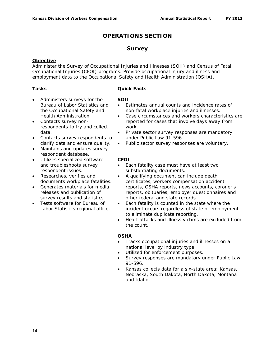## **Survey**

#### **Objective**

Administer the Survey of Occupational Injuries and Illnesses (SOII) and Census of Fatal Occupational Injuries (CFOI) programs. Provide occupational injury and illness and employment data to the Occupational Safety and Health Administration (OSHA).

#### **Tasks**

- Administers surveys for the Bureau of Labor Statistics and the Occupational Safety and Health Administration.
- Contacts survey nonrespondents to try and collect data.
- Contacts survey respondents to clarify data and ensure quality.
- Maintains and updates survey respondent database.
- Utilizes specialized software and troubleshoots survey respondent issues.
- Researches, verifies and documents workplace fatalities.
- Generates materials for media releases and publication of survey results and statistics.
- Tests software for Bureau of Labor Statistics regional office.

#### **Quick Facts**

#### **SOII**

- Estimates annual counts and incidence rates of non-fatal workplace injuries and illnesses.
- Case circumstances and workers characteristics are reported for cases that involve days away from work.
- Private sector survey responses are mandatory under Public Law 91-596.
- Public sector survey responses are voluntary.

#### **CFOI**

- Each fatality case must have at least two substantiating documents.
- A qualifying document can include death certificates, workers compensation accident reports, OSHA reports, news accounts, coroner's reports, obituaries, employer questionnaires and other federal and state records.
- Each fatality is counted in the state where the incident occurs regardless of state of employment to eliminate duplicate reporting.
- Heart attacks and illness victims are excluded from the count.

#### **OSHA**

- Tracks occupational injuries and illnesses on a national level by industry type.
- Utilized for enforcement purposes.
- Survey responses are mandatory under Public Law 91-596.
- Kansas collects data for a six-state area: Kansas, Nebraska, South Dakota, North Dakota, Montana and Idaho.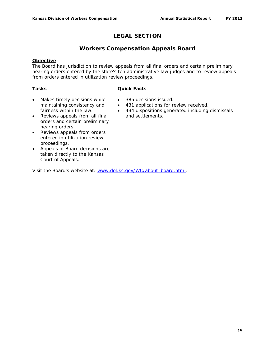# **LEGAL SECTION**

# **Workers Compensation Appeals Board**

#### **Objective**

The Board has jurisdiction to review appeals from all final orders and certain preliminary hearing orders entered by the state's ten administrative law judges and to review appeals from orders entered in utilization review proceedings.

#### **Tasks**

#### **Quick Facts**

- Makes timely decisions while maintaining consistency and fairness within the law.
- 385 decisions issued.
- 431 applications for review received.
- 434 dispositions generated including dismissals and settlements.
- Reviews appeals from all final orders and certain preliminary hearing orders.
- Reviews appeals from orders entered in utilization review proceedings.
- Appeals of Board decisions are taken directly to the Kansas Court of Appeals.

Visit the Board's website at: [www.dol.ks.gov/WC/about\\_board.html.](http://www.dol.ks.gov/WC/about_board.html)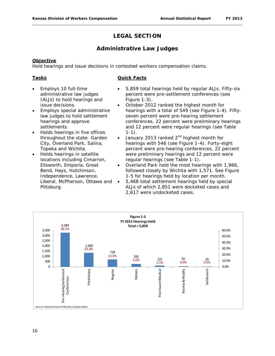# **LEGAL SECTION**

# **Administrative Law Judges**

#### **Objective**

Hold hearings and issue decisions in contested workers compensation claims.

## **Tasks**

- Employs 10 full-time administrative law judges (ALJs) to hold hearings and issue decisions.
- Employs special administrative law judges to hold settlement hearings and approve settlements.
- Holds hearings in five offices throughout the state: Garden City, Overland Park, Salina, Topeka and Wichita.
- Holds hearings in satellite locations including Cimarron, Ellsworth, Emporia, Great Bend, Hays, Hutchinson, Independence, Lawrence, Liberal, McPherson, Ottawa and Pittsburg.
- 5,859 total hearings held by regular ALJs. Fifty-six percent were pre-settlement conferences (see Figure 1-3).
- October 2012 ranked the highest month for hearings with a total of 549 (see Figure 1-4). Fiftyseven percent were pre-hearing settlement conferences, 22 percent were preliminary hearings and 12 percent were regular hearings (see Table  $1-1$ ).
- January 2013 ranked  $2^{nd}$  highest month for hearings with 546 (see Figure 1-4). Forty-eight percent were pre-hearing conferences, 22 percent were preliminary hearings and 12 percent were regular hearings (see Table 1-1).
- Overland Park held the most hearings with 1,966, followed closely by Wichita with 1,571. See Figure 1-5 for hearings held by location per month.
- 5,468 total settlement hearings held by special ALJs of which 2,851 were docketed cases and 2,617 were undocketed cases.

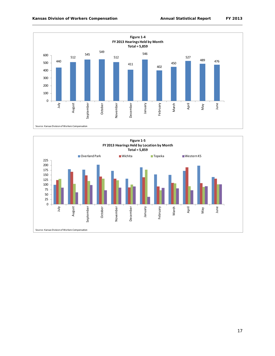

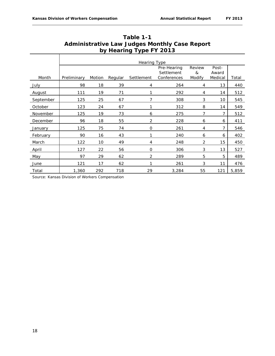|           | <b>Hearing Type</b> |        |         |                |                                          |                       |                           |       |  |
|-----------|---------------------|--------|---------|----------------|------------------------------------------|-----------------------|---------------------------|-------|--|
| Month     | Preliminary         | Motion | Regular | Settlement     | Pre-Hearing<br>Settlement<br>Conferences | Review<br>&<br>Modify | Post-<br>Award<br>Medical | Total |  |
| July      | 98                  | 18     | 39      | 4              | 264                                      | 4                     | 13                        | 440   |  |
| August    | 111                 | 19     | 71      | 1              | 292                                      | 4                     | 14                        | 512   |  |
| September | 125                 | 25     | 67      | 7              | 308                                      | 3                     | 10                        | 545   |  |
| October   | 123                 | 24     | 67      |                | 312                                      | 8                     | 14                        | 549   |  |
| November  | 125                 | 19     | 73      | 6              | 275                                      | 7                     | 7                         | 512   |  |
| December  | 96                  | 18     | 55      | 2              | 228                                      | 6                     | 6                         | 411   |  |
| January   | 125                 | 75     | 74      | $\mathbf{O}$   | 261                                      | $\overline{4}$        | 7                         | 546   |  |
| February  | 90                  | 16     | 43      | $\mathbf{1}$   | 240                                      | 6                     | 6                         | 402   |  |
| March     | 122                 | 10     | 49      | 4              | 248                                      | $\overline{2}$        | 15                        | 450   |  |
| April     | 127                 | 22     | 56      | $\mathbf{O}$   | 306                                      | 3                     | 13                        | 527   |  |
| May       | 97                  | 29     | 62      | $\overline{2}$ | 289                                      | 5                     | 5                         | 489   |  |
| June      | 121                 | 17     | 62      | 1              | 261                                      | 3                     | 11                        | 476   |  |
| Total     | 1,360               | 292    | 718     | 29             | 3,284                                    | 55                    | 121                       | 5,859 |  |

| Table 1-1                                            |
|------------------------------------------------------|
| <b>Administrative Law Judges Monthly Case Report</b> |
| by Hearing Type FY 2013                              |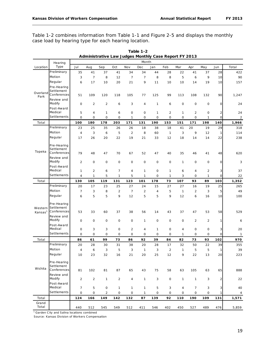Table 1-2 combines information from Table 1-1 and Figure 2-5 and displays the monthly case load by hearing type for each hearing location.

|                     | Hearing                                                                  | -<br><u></u><br>.<br>.<br>Month |                |                   |                   |                         |                |                     |                   |                    |                      |                      |              |                |
|---------------------|--------------------------------------------------------------------------|---------------------------------|----------------|-------------------|-------------------|-------------------------|----------------|---------------------|-------------------|--------------------|----------------------|----------------------|--------------|----------------|
| Location            | Type                                                                     | Jul                             | Aug            | Sep               | Oct               | Nov                     | Dec            | Jan                 | Feb               | Mar                | Apr                  | May                  | Jun          | Total          |
|                     | Preliminary                                                              | 35                              | 41             | 37                | 41                | 34                      | 34             | 44                  | 28                | 22                 | 41                   | 37                   | 28           | 422            |
|                     | Motion                                                                   | 3                               | $\overline{7}$ | 8                 | 12                | $\overline{7}$          | $\overline{7}$ | 8                   | 8                 | 5                  | 6                    | 9                    | 10           | 90             |
|                     | Regular                                                                  | 6                               | 17             | 10                | 20                | 21                      | 9              | 11                  | 10                | 10                 | 14                   | 19                   | 10           | 157            |
| Overland<br>Park    | Pre-Hearing<br>Settlement<br>Conferences                                 | 51                              | 109            | 120               | 118               | 105                     | 77             | 125                 | 99                | 113                | 108                  | 132                  | 90           | 1,247          |
|                     | Review and<br>Modify                                                     | $\mathbf 0$                     | $\overline{2}$ | $\overline{2}$    | 6                 | 3                       | 4              | 1                   | 6                 | $\mathbf 0$        | 0                    | 0                    | $\mathbf 0$  | 24             |
|                     | Post-Award<br>Medical                                                    | 5                               | 4              | 1                 | 6                 | 0                       | 0              | $\mathbf{1}$        | 2                 | 1                  | 2                    | 0                    | $\mathbf 2$  | 24             |
|                     | Settlements                                                              | $\circ$                         | $\mathbf 0$    | $\mathbf 0$       | $\mathbf 0$       | $\mathbf{1}$            | 0              | $\mathbf 0$         | 0                 | 0                  | 0                    | 1                    | $\mathsf{O}$ | $\overline{c}$ |
| Total               |                                                                          | 100                             | 180            | 178               | 203               | 171                     | 131            | 190                 | 153               | 151                | 171                  | 198                  | 140          | 1,966          |
|                     | Preliminary                                                              | 23                              | 25             | 35                | 26                | 26                      | 18             | 38                  | 18                | 41                 | 20                   | 19                   | 29           | 318            |
|                     | Motion                                                                   | $\overline{4}$                  | 3              | 6                 | 5                 | $\overline{c}$          | 8              | 60                  | $\mathbf{1}$      | 3                  | 9                    | 12                   | 1            | 114            |
|                     | Regular                                                                  | 17                              | 26             | 20                | 22                | 19                      | 21             | 33                  | 12                | 18                 | 14                   | 14                   | 22           | 238            |
| Topeka              | Pre-Hearing<br>Settlement<br>Conferences<br>Review and                   | 79                              | 48             | 47                | 70                | 67                      | 52             | 47                  | 40                | 35                 | 46                   | 41                   | 48           | 620            |
|                     | Modify<br>Post-Award                                                     | $\overline{2}$                  | $\mathbf 0$    | $\mathsf O$       | $\mathbf 0$       | 0                       | 0              | 0                   | 0                 | $\mathbf{1}$       | 0                    | 0                    | $\mathsf O$  | 3              |
|                     | Medical                                                                  | 1                               | 2              | 6                 | $\overline{7}$    | 4                       | 1              | 0                   | 1                 | 6                  | 4                    | 2                    | 3            | 37             |
|                     | Settlements                                                              | $\overline{4}$                  | $\mathbf{1}$   | 5                 | $\mathbf{1}$      | 5                       | $\mathbf{1}$   | $\mathbf 0$         | $\mathbf{1}$      | 3                  | $\mathbf 0$          | 1                    | $\mathbf 0$  | 22             |
| Total               |                                                                          | 130                             | 105            | 119               | 131               | 123                     | 101            | 178                 | 73                | 107                | 93                   | 89                   | 103          | 1,352          |
|                     | Preliminary                                                              | 20                              | 17             | 23                | 25                | 27                      | 24             | 15                  | 27                | 27                 | 16                   | 19                   | 25           | 265            |
|                     | Motion                                                                   | $\overline{7}$                  | 3              | 8                 | $\overline{2}$    | $\overline{7}$          | $\overline{c}$ | $\sqrt{4}$          | 5                 | $\mathbf{1}$       | $\overline{2}$       | 3                    | 5            | 49             |
|                     | Regular                                                                  | 6                               | 5              | 5                 | 9                 | 12                      | 5              | 5                   | 9                 | 12                 | 6                    | 16                   | 10           | 100            |
| Kansas <sup>1</sup> | Pre-Hearing<br>Western Settlement<br>Conferences<br>Review and<br>Modify | 53<br>$\mathbf 0$               | 33<br>$\circ$  | 60<br>$\mathbf 0$ | 37<br>$\mathbf 0$ | 38<br>0                 | 56<br>1        | 14<br>0             | 43<br>0           | 37<br>$\mathbf 0$  | 47<br>$\overline{2}$ | 53<br>$\overline{2}$ | 58<br>1      | 529<br>6       |
|                     | Post-Award                                                               |                                 |                |                   |                   |                         |                |                     |                   |                    |                      |                      |              |                |
|                     | Medical                                                                  | $\mathbf 0$                     | 3              | 3                 | $\mathbf 0$       | $\overline{\mathbf{c}}$ | 4              | $\mathbf{1}$        | 0                 | 4                  | 0                    | 0                    | 3            | 20             |
|                     | Settlements                                                              | $\mathbf 0$                     | $\mathbf 0$    | 0                 | $\mathbf 0$       | 0                       | 0              | 0                   | $\mathbf 0$       | 1                  | 0                    | 0                    | 0            | $\mathbf{1}$   |
| Total               |                                                                          | 86                              | 61             | 99                | 73                | 86                      | 92             | 39                  | 84                | 82                 | 73                   | 93                   | 102          | 970            |
|                     | Preliminary                                                              | 20                              | 28             | 30                | 31                | 38                      | 20             | 28                  | 17                | 32                 | 50                   | 22                   | 39           | 355            |
|                     | Motion                                                                   | $\overline{4}$                  | 6              | 3                 | 5                 | 3                       | $\mathbf{1}$   | 3                   | $\overline{2}$    | $\mathbf{1}$       | 5                    | 5                    | 1            | 39             |
|                     | Regular                                                                  | 10                              | 23             | 32                | 16                | 21                      | 20             | 25                  | 12                | 9                  | 22                   | 13                   | 20           | 223            |
| Wichita             | Pre-Hearing<br>Settlement<br>Conferences<br>Review and<br>Modify         | 81<br>$\overline{2}$            | 102            | 81                | 87                | 65<br>4                 | 43             | 75                  | 58<br>$\mathsf O$ | 63<br>$\mathbf{1}$ | 105                  | 63                   | 65           | 888            |
|                     | Post-Award                                                               |                                 | $\overline{c}$ | $\mathbf{1}$      | $\overline{2}$    |                         | $\mathbf{1}$   | 3                   |                   |                    | $\mathbf{1}$         | 3                    | $\mathbf 2$  | 22             |
|                     | Medical                                                                  | $\overline{7}$                  | 5              | $\mathsf O$       | $\mathbf{1}$      | $\mathbf{1}$            | 1              | 5                   | 3                 | $\overline{4}$     | 7                    | 3                    | 3            | 40             |
|                     | Settlements                                                              | 0                               | 0              | $\overline{2}$    | 0                 | $\mathsf{O}\xspace$     | 1              | $\mathsf{O}\xspace$ | 0                 | 0                  | 0                    | 0                    | 1            | 4              |
| Total               |                                                                          | 124                             | 166            | 149               | 142               | 132                     | 87             | 139                 | 92                | 110                | 190                  | 109                  | 131          | 1,571          |
| Grand<br>Total      |                                                                          | 440                             | 512            | 545               | 549               | 512                     | 411            | 546                 | 402               | 450                | 527                  | 489                  | 476          | 5,859          |

**Table 1-2 Administrative Law Judges Monthly Case Report FY 2013**

<sup>1</sup> Garden City and Salina locations combined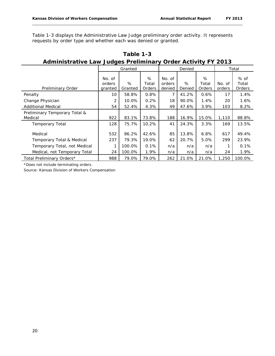Table 1-3 displays the Administrative Law Judge preliminary order activity. It represents requests by order type and whether each was denied or granted.

| Aditionality Caw Judges Fightinial y Order Activity FT 2013 |                             |              |                             |                            |             |                      |                  |                         |
|-------------------------------------------------------------|-----------------------------|--------------|-----------------------------|----------------------------|-------------|----------------------|------------------|-------------------------|
|                                                             | Granted                     |              |                             | Denied                     |             |                      | Total            |                         |
| Preliminary Order                                           | No. of<br>orders<br>granted | %<br>Granted | %<br>Total<br><b>Orders</b> | No. of<br>orders<br>denied | %<br>Denied | %<br>Total<br>Orders | No. of<br>orders | % of<br>Total<br>Orders |
| Penalty                                                     | 10                          | 58.8%        | 0.8%                        |                            | 41.2%       | 0.6%                 | 17               | 1.4%                    |
| Change Physician                                            | 2                           | 10.0%        | 0.2%                        | 18                         | 90.0%       | 1.4%                 | 20               | 1.6%                    |
| <b>Additional Medical</b>                                   | 54                          | 52.4%        | 4.3%                        | 49                         | 47.6%       | 3.9%                 | 103              | 8.2%                    |
| Preliminary Temporary Total &<br>Medical                    | 922                         | 83.1%        | 73.8%                       | 188                        | 16.9%       | 15.0%                | 1,110            | 88.8%                   |
| <b>Temporary Total</b>                                      | 128                         | 75.7%        | 10.2%                       | 41                         | 24.3%       | 3.3%                 | 169              | 13.5%                   |
| Medical                                                     | 532                         | 86.2%        | 42.6%                       | 85                         | 13.8%       | 6.8%                 | 617              | 49.4%                   |
| Temporary Total & Medical                                   | 237                         | 79.3%        | 19.0%                       | 62                         | 20.7%       | 5.0%                 | 299              | 23.9%                   |
| Temporary Total, not Medical                                | 1                           | 100.0%       | 0.1%                        | n/a                        | n/a         | n/a                  |                  | 0.1%                    |
| Medical, not Temporary Total                                | 24                          | 100.0%       | 1.9%                        | n/a                        | n/a         | n/a                  | 24               | 1.9%                    |
| Total Preliminary Orders*                                   | 988                         | 79.0%        | 79.0%                       | 262                        | 21.0%       | 21.0%                | 1,250            | 100.0%                  |

**Table 1-3 Administrative Law Judges Preliminary Order Activity FY 2013**

\*Does not include terminating orders.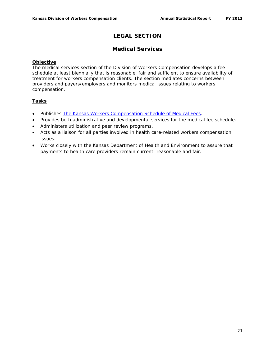# **LEGAL SECTION**

## **Medical Services**

#### **Objective**

The medical services section of the Division of Workers Compensation develops a fee schedule at least biennially that is reasonable, fair and sufficient to ensure availability of treatment for workers compensation clients. The section mediates concerns between providers and payers/employers and monitors medical issues relating to workers compensation.

#### **Tasks**

- Publishes *[The Kansas Workers Compensation Schedule of Medical Fees](http://www.dol.ks.gov/Files/PDF/KWC300.pdf)*.
- Provides both administrative and developmental services for the medical fee schedule.
- Administers utilization and peer review programs.
- Acts as a liaison for all parties involved in health care-related workers compensation issues.
- Works closely with the Kansas Department of Health and Environment to assure that payments to health care providers remain current, reasonable and fair.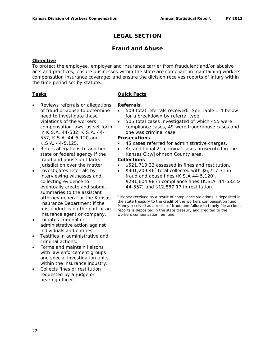# **LEGAL SECTION**

## **Fraud and Abuse**

#### **Objective**

To protect the employee, employer and insurance carrier from fraudulent and/or abusive acts and practices; ensure businesses within the state are compliant in maintaining workers compensation insurance coverage; and ensure the division receives reports of injury within the time period set by statute.

#### **Tasks**

- Reviews referrals or allegations of fraud or abuse to determine need to investigate these violations of the workers compensation laws, as set forth in K.S.A. 44-532, K.S.A. 44- 557, K.S.A. 44-5,120 and
- K.S.A. 44-5,125. Refers allegations to another state or federal agency if the fraud and abuse unit lacks jurisdiction over the matter.
- Investigates referrals by interviewing witnesses and collecting evidence to eventually create and submit summaries to the assistant attorney general or the Kansas Insurance Department if the misconduct is on the part of an insurance agent or company.
- Initiates criminal or administrative action against individuals and entities.
- Testifies in administrative and criminal actions.
- Forms and maintain liaisons with law enforcement groups and special investigation units within the insurance industry.
- Collects fines or restitution requested by a judge or hearing officer.

#### **Quick Facts**

#### **Referrals**

- 509 total referrals received. See Table 1-4 below for a breakdown by referral type.
- 505 total cases investigated of which 455 were compliance cases, 49 were fraud/abuse cases and one was criminal case.

#### **Prosecutions**

- 45 cases referred for administrative charges.
- An additional 21 criminal cases prosecuted in the Kansas City/Johnson County area.

## **Collections**

- \$521,710.32 assessed in fines and restitution.
- \$301,209.46\* total collected with \$6,717.31 in fraud and abuse fines (K.S.A 44-5,120), \$281,604.98 in compliance fines (K.S.A. 44-532 & 44-557) and \$12,887.17 in restitution.

\* Money received as a result of compliance violations is deposited in the state treasury to the credit of the workers compensation fund. Money received as a result of fraud and failure to timely file accident reports is deposited in the state treasury and credited to the workers compensation fee fund.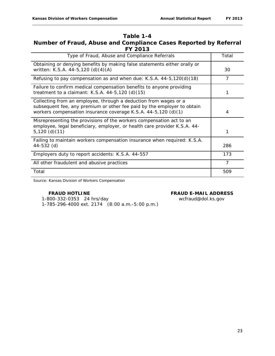# **Table 1-4 Number of Fraud, Abuse and Compliance Cases Reported by Referral FY 2013**

| Type of Fraud, Abuse and Compliance Referrals                                                                                                                                                                 | Total |
|---------------------------------------------------------------------------------------------------------------------------------------------------------------------------------------------------------------|-------|
| Obtaining or denying benefits by making false statements either orally or<br>written: K.S.A. 44-5,120 (d)(4)(A)                                                                                               | 30    |
| Refusing to pay compensation as and when due: K.S.A. 44-5,120(d)(18)                                                                                                                                          | 7     |
| Failure to confirm medical compensation benefits to anyone providing<br>treatment to a claimant: K.S.A. $44-5,120$ (d) $(15)$                                                                                 |       |
| Collecting from an employee, through a deduction from wages or a<br>subsequent fee, any premium or other fee paid by the employer to obtain<br>workers compensation insurance coverage K.S.A. 44-5,120 (d)(1) | 4     |
| Misrepresenting the provisions of the workers compensation act to an<br>employee, legal beneficiary, employer, or health care provider K.S.A. 44-<br>$5,120$ (d)(11)                                          | 1     |
| Failing to maintain workers compensation insurance when required: K.S.A.<br>44-532 (d)                                                                                                                        | 286   |
| Employers duty to report accidents: K.S.A. 44-557                                                                                                                                                             | 173   |
| All other fraudulent and abusive practices                                                                                                                                                                    | 7     |
| Total                                                                                                                                                                                                         | 509   |

Source: Kansas Division of Workers Compensation

#### **FRAUD HOTLINE FRAUD E-MAIL ADDRESS**

 1-800-332-0353 24 hrs/day wcfraud@dol.ks.gov 1-785-296-4000 ext. 2174 (8:00 a.m.-5:00 p.m.)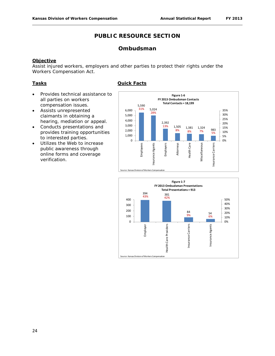# **Ombudsman**

#### **Objective**

Assist injured workers, employers and other parties to protect their rights under the Workers Compensation Act.

#### **Tasks**

- Provides technical assistance to all parties on workers compensation issues.
- Assists unrepresented claimants in obtaining a hearing, mediation or appeal.
- Conducts presentations and provides training opportunities to interested parties.
- Utilizes the Web to increase public awareness through online forms and coverage verification.



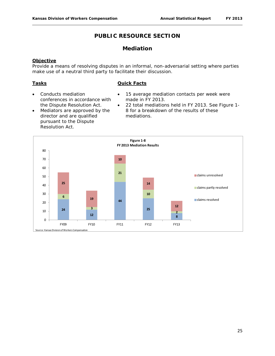# **Mediation**

#### **Objective**

Provide a means of resolving disputes in an informal, non-adversarial setting where parties make use of a neutral third party to facilitate their discussion.

#### **Tasks**

- Conducts mediation conferences in accordance with the Dispute Resolution Act.
- Mediators are approved by the director and are qualified pursuant to the Dispute Resolution Act.
- 15 average mediation contacts per week were made in FY 2013.
- 22 total mediations held in FY 2013. See Figure 1- 8 for a breakdown of the results of these mediations.

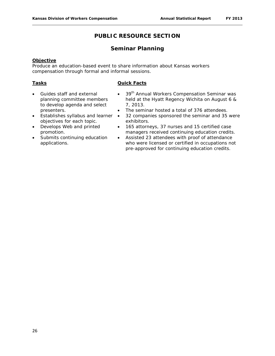# **Seminar Planning**

#### **Objective**

Produce an education-based event to share information about Kansas workers compensation through formal and informal sessions.

#### **Tasks**

- Guides staff and external planning committee members to develop agenda and select presenters.
- Establishes syllabus and learner objectives for each topic.
- Develops Web and printed promotion.
- Submits continuing education applications.
- 39<sup>th</sup> Annual Workers Compensation Seminar was held at the Hyatt Regency Wichita on August 6 & 7, 2013.
- The seminar hosted a total of 376 attendees.
- 32 companies sponsored the seminar and 35 were exhibitors.
- 165 attorneys, 37 nurses and 15 certified case managers received continuing education credits.
- Assisted 23 attendees with proof of attendance who were licensed or certified in occupations not pre-approved for continuing education credits.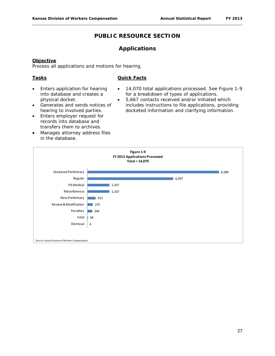## **Applications**

#### **Objective**

Process all applications and motions for hearing.

#### **Tasks**

- Enters application for hearing into database and creates a physical docket.
- Generates and sends notices of hearing to involved parties.
- Enters employer request for records into database and transfers them to archives.
- Manages attorney address files in the database.
- 14,070 total applications processed. See Figure 1-9 for a breakdown of types of applications.
- 5,667 contacts received and/or initiated which includes instructions to file applications, providing docketed information and clarifying information.

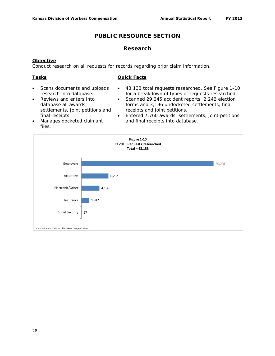#### **Research**

#### **Objective**

Conduct research on all requests for records regarding prior claim information.

#### **Tasks**

- Scans documents and uploads research into database.
- Reviews and enters into database all awards, settlements, joint petitions and final receipts.
- 43,133 total requests researched. See Figure 1-10 for a breakdown of types of requests researched.
- Scanned 29,245 accident reports, 2,242 election forms and 3,196 undocketed settlements, final receipts and joint petitions.
- Entered 7,760 awards, settlements, joint petitions and final receipts into database.
- Manages docketed claimant files.

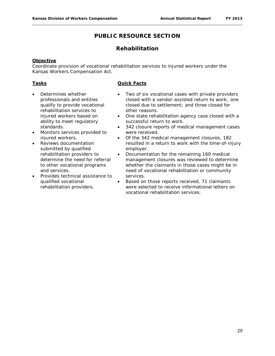# **Rehabilitation**

#### **Objective**

Coordinate provision of vocational rehabilitation services to injured workers under the Kansas Workers Compensation Act.

#### **Tasks**

- Determines whether professionals and entities qualify to provide vocational rehabilitation services to injured workers based on ability to meet regulatory standards.
- Monitors services provided to injured workers.
- Reviews documentation submitted by qualified rehabilitation providers to determine the need for referral to other vocational programs and services.
- Provides technical assistance to qualified vocational rehabilitation providers.

- Two of six vocational cases with private providers closed with a vendor-assisted return to work; one closed due to settlement; and three closed for other reasons.
- One state rehabilitation agency case closed with a successful return to work.
- 342 closure reports of medical management cases were received.
- Of the 342 medical management closures, 182 resulted in a return to work with the time-of-injury employer.
- Documentation for the remaining 160 medical management closures was reviewed to determine whether the claimants in those cases might be in need of vocational rehabilitation or community services.
- Based on those reports received, 71 claimants were selected to receive informational letters on vocational rehabilitation services.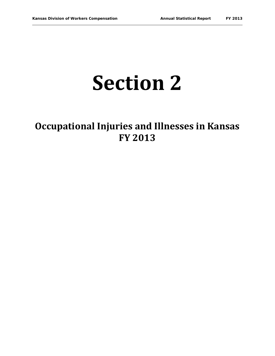# **Section 2**

# **Occupational Injuries and Illnesses in Kansas FY 2013**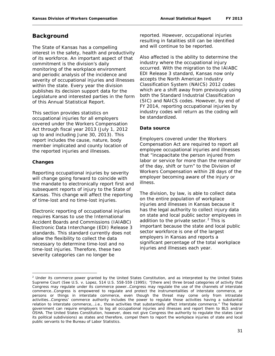# **Background**

The State of Kansas has a compelling interest in the safety, health and productivity of its workforce. An important aspect of that commitment is the division's daily monitoring of the workplace environment and periodic analysis of the incidence and severity of occupational injuries and illnesses within the state. Every year the division publishes its decision support data for the Legislature and interested parties in the form of this *Annual Statistical Report*.

This section provides statistics on occupational injuries for all employers covered under the Workers Compensation Act through fiscal year 2013 (July 1, 2012 up to and including June 30, 2013). This report includes the cause, nature, body member implicated and county location of the reported injuries and illnesses.

#### **Changes**

 $\overline{\phantom{a}}$ 

Reporting occupational injuries by severity will change going forward to coincide with the mandate to electronically report first and subsequent reports of injury to the State of Kansas. This change will affect the reporting of time-lost and no time-lost injuries.

Electronic reporting of occupational injuries requires Kansas to use the International Accident Boards and Commissions (IAIABC) Electronic Data Interchange (EDI) Release 3 standards. This standard currently does not allow the flexibility to collect the data necessary to determine time-lost and no time-lost injuries. Therefore, these two severity categories can no longer be

reported. However, occupational injuries resulting in fatalities still can be identified and will continue to be reported.

Also affected is the ability to determine the industry where the occupational injury occurred. With the migration to the IAIABC EDI Release 3 standard, Kansas now only accepts the North American Industry Classification System (NAICS) 2012 codes which are a shift away from previously using both the Standard Industrial Classification (SIC) and NAICS codes. However, by end of FY 2014, reporting occupational injuries by industry codes will return as the coding will be standardized.

#### **Data source**

Employers covered under the Workers Compensation Act are required to report all employee occupational injuries and illnesses that "incapacitate the person injured from labor or service for more than the remainder of the day, shift or turn" to the Division of Workers Compensation within 28 days of the employer becoming aware of the injury or illness.

The division, by law, is able to collect data on the entire population of workplace injuries and illnesses in Kansas because it has the legal authority to collect injury data on state and local public sector employees in addition to the private sector. $2$  This is important because the state and local public sector workforce is one of the largest employers in Kansas and reports a significant percentage of the total workplace injuries and illnesses each year.

<span id="page-31-0"></span> $<sup>2</sup>$  Under its commerce power granted by the United States Constitution, and as interpreted by the United States</sup> Supreme Court (See *U.S.* v. *Lopez*, 514 U.S. 558-559 (1995); "[there are] three broad categories of activity that Congress may regulate under its commerce power…Congress may regulate the use of the channels of interstate commerce…Congress is empowered to regulate and protect the instrumentalities of interstate commerce, or persons or things in interstate commerce, even though the threat may come only from intrastate activities…Congress' commerce authority includes the power to regulate those activities having a substantial relation to interstate commerce,…i.e., those activities that substantially affect interstate commerce." The federal government can require employers to log all occupational injuries and illnesses and report them to BLS and/or OSHA. The United States Constitution, however, does not give Congress the authority to regulate the states (and its political subdivisions) as states and therefore, compel them to report the workplace injuries of state and local public servants to the Bureau of Labor Statistics.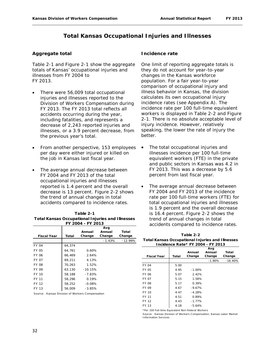# **Total Kansas Occupational Injuries and Illnesses**

#### **Aggregate total**

Table 2-1 and Figure 2-1 show the aggregate totals of Kansas' occupational injuries and illnesses from FY 2004 to FY 2013.

- There were 56,009 total occupational injuries and illnesses reported to the Division of Workers Compensation during FY 2013. The FY 2013 total reflects all accidents occurring during the year, including fatalities, and represents a decrease of 2,243 reported injuries and illnesses, or a 3.9 percent decrease, from the previous year's total.
- From another perspective, 153 employees per day were either injured or killed on the job in Kansas last fiscal year.
- The average annual decrease between FY 2004 and FY 2013 of the total occupational injuries and illnesses reported is 1.4 percent and the overall decrease is 13 percent. Figure 2-2 shows the trend of annual changes in total accidents compared to incidence rates.

| Table 2-1                                               |
|---------------------------------------------------------|
| <b>Total Kansas Occupational Injuries and Illnesses</b> |
| FY 2004 - FY 2013                                       |

|                    |        | Annual    | Avg<br>Annual | Total     |
|--------------------|--------|-----------|---------------|-----------|
| <b>Fiscal Year</b> | Total  | Change    | Change        | Change    |
|                    |        |           | $-1.43%$      | $-12.99%$ |
| <b>FY 04</b>       | 64.374 |           |               |           |
| FY 05              | 64,761 | 0.60%     |               |           |
| FY 06              | 66.469 | 2.64%     |               |           |
| FY 07              | 69.211 | 4.13%     |               |           |
| FY 08              | 70,263 | 1.52%     |               |           |
| FY 09              | 63,130 | $-10.15%$ |               |           |
| FY 10              | 58,188 | $-7.83%$  |               |           |
| FY 11              | 58,296 | 0.19%     |               |           |
| FY 12              | 58.252 | $-0.08%$  |               |           |
| FY 13              | 56,009 | $-3.85%$  |               |           |
|                    |        |           |               |           |

Source: Kansas Division of Workers Compensation

#### **Incidence rate**

One limit of reporting aggregate totals is they do not account for year-to-year changes in the Kansas workforce population. For a fair year-to-year comparison of occupational injury and illness behavior in Kansas, the division calculates its own occupational injury incidence rates (see Appendix A). The incidence rate per 100 full-time equivalent workers is displayed in Table 2-2 and Figure 2-1. There is no absolute acceptable level of injury incidence. However, relatively speaking, the lower the rate of injury the better.

- The total occupational injuries and illnesses incidence per 100 full-time equivalent workers (FTE) in the private and public sectors in Kansas was 4.2 in FY 2013. This was a decrease by 5.6 percent from last fiscal year.
- The average annual decrease between FY 2004 and FY 2013 of the incidence rate per 100 full-time workers (FTE) for total occupational injuries and illnesses is 1.9 percent and the overall decrease is 16.4 percent. Figure 2-2 shows the trend of annual changes in total accidents compared to incidence rates.

| Table 2-2                                               |
|---------------------------------------------------------|
| <b>Total Kansas Occupational Injuries and Illnesses</b> |
| Incidence Rate* FY 2004 - FY 2013                       |

| <b>Fiscal Year</b> | Total | Annual<br>Change | Avg<br>Annual<br>Change | Total<br>Change |
|--------------------|-------|------------------|-------------------------|-----------------|
|                    |       |                  | $-1.90%$                | $-16.40%$       |
| FY 04              | 5.00  |                  |                         |                 |
| FY 05              | 4.95  | $-1.00%$         |                         |                 |
| FY 06              | 5.07  | 2.42%            |                         |                 |
| <b>FY 07</b>       | 5.15  | 1.58%            |                         |                 |
| <b>FY 08</b>       | 5.17  | 0.39%            |                         |                 |
| <b>FY 09</b>       | 4.67  | $-9.67%$         |                         |                 |
| FY 10              | 4.47  | $-4.28%$         |                         |                 |
| FY 11              | 4.51  | 0.89%            |                         |                 |
| FY 12              | 4.43  | $-1.77%$         |                         |                 |
| FY 13              | 4.18  | $-5.64%$         |                         |                 |

\*Per 100 Full-time Equivalent Non-Federal Workers

Source: Kansas Division of Workers Compensation, Kansas Labor Market Information Services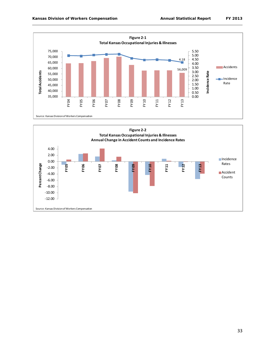

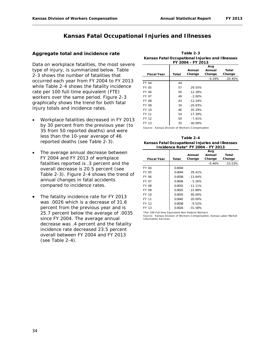# **Kansas Fatal Occupational Injuries and Illnesses**

#### **Aggregate total and incidence rate**

Data on workplace fatalities, the most severe type of injury, is summarized below. Table 2-3 shows the number of fatalities that occurred each year from FY 2004 to FY 2013 while Table 2-4 shows the fatality incidence rate per 100 full-time equivalent (FTE) workers over the same period. Figure 2-3 graphically shows the trend for both fatal injury totals and incidence rates.

- Workplace fatalities decreased in FY 2013 by 30 percent from the previous year (to 35 from 50 reported deaths) and were less than the 10-year average of 46 reported deaths (see Table 2-3).
- The average annual decrease between FY 2004 and FY 2013 of workplace fatalities reported is .3 percent and the overall decrease is 20.5 percent (see Table 2-3). Figure 2-4 shows the trend of annual changes in fatal accidents compared to incidence rates.
- The fatality incidence rate for FY 2013 was .0026 which is a decrease of 31.6 percent from the previous year and is 25.7 percent below the average of .0035 since FY 2004. The average annual decrease was .4 percent and the fatality incidence rate decreased 23.5 percent overall between FY 2004 and FY 2013 (see Table 2-4).

| FY 2004 - FY 2013  |       |            |          |           |
|--------------------|-------|------------|----------|-----------|
|                    |       | Avq        |          |           |
|                    |       | Annual     | Annual   | Total     |
| <b>Fiscal Year</b> | Total | Change     | Change   | Change    |
|                    |       |            | $-0.29%$ | $-20.45%$ |
| <b>FY 04</b>       | 44    |            |          |           |
| FY 05              | 57    | 29.55%     |          |           |
| FY 06              | 50    | $-12.28%$  |          |           |
| <b>FY 07</b>       | 49    | $-2.00%$   |          |           |
| <b>FY 08</b>       | 43    | $-12.24%$  |          |           |
| FY 09              | 34    | $-20.93%$  |          |           |
| FY 10              | 46    | 35.29%     |          |           |
| FY 11              | 54    | 17.39%     |          |           |
| FY 12              | 50    | $-7.41%$   |          |           |
| FY 13              | 35    | $-30.00\%$ |          |           |

**Table 2-3 Kansas Fatal Occupational Injuries and Illnesses** 

Source: Kansas Division of Workers Compensation

**Kansas Fatal Occupational Injuries and Illnesses Incidence Rate\* FY 2004 - FY 2013 Table 2-4**

|                    |        |           | Avg      |           |
|--------------------|--------|-----------|----------|-----------|
|                    |        | Annual    | Annual   | Total     |
| <b>Fiscal Year</b> | Total  | Change    | Change   | Change    |
|                    |        |           | $-0.40%$ | $-23.53%$ |
| <b>FY 04</b>       | 0.0034 |           |          |           |
| FY 05              | 0.0044 | 29.41%    |          |           |
| FY 06              | 0.0038 | $-13.64%$ |          |           |
| FY 07              | 0.0036 | $-5.26%$  |          |           |
| <b>FY 08</b>       | 0.0032 | $-11.11%$ |          |           |
| FY 09              | 0.0025 | $-21.88%$ |          |           |
| FY 10              | 0.0035 | 40.00%    |          |           |
| FY 11              | 0.0042 | 20.00%    |          |           |
| FY 12              | 0.0038 | $-9.52%$  |          |           |
| FY 13              | 0.0026 | $-31.58%$ |          |           |
|                    |        |           |          |           |

\*Per 100 Full-time Equivalent Non-Federal Workers Source: Kansas Division of Workers Compensation, Kansas Labor Market Information Services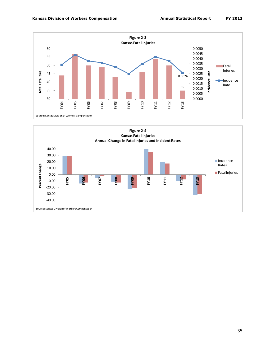

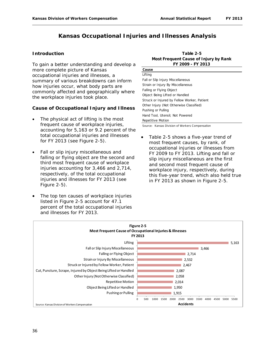# **Kansas Occupational Injuries and Illnesses Analysis**

#### **Introduction**

To gain a better understanding and develop a more complete picture of Kansas occupational injuries and illnesses, a summary of various breakdowns can inform how injuries occur, what body parts are commonly affected and geographically where the workplace injuries took place.

#### **Cause of Occupational Injury and Illness**

- The physical act of lifting is the most frequent cause of workplace injuries, accounting for 5,163 or 9.2 percent of the total occupational injuries and illnesses for FY 2013 (see Figure 2-5).
- Fall or slip injury miscellaneous and falling or flying object are the second and third most frequent cause of workplace injuries accounting for 3,466 and 2,714, respectively, of the total occupational injuries and illnesses for FY 2013 (see Figure 2-5).
- The top ten causes of workplace injuries listed in Figure 2-5 account for 47.1 percent of the total occupational injuries and illnesses for FY 2013.

| Table 2-5                             |
|---------------------------------------|
| Most Frequent Cause of Injury by Rank |
| FY 2009 - FY 2013                     |

| Cause                                       |
|---------------------------------------------|
| Lifting                                     |
| Fall or Slip Injury Miscellaneous           |
| Strain or Injury By Miscellaneous           |
| Falling or Flying Object                    |
| Object Being Lifted or Handled              |
| Struck or Injured by Fellow Worker, Patient |
| Other Injury (Not Otherwise Classified)     |
| Pushing or Pulling                          |
| Hand Tool, Utensil: Not Powered             |
| Repetitive Motion                           |
|                                             |

Source: Kansas Division of Workers Compensation

Table 2-5 shows a five-year trend of most frequent causes, by rank, of occupational injuries or illnesses from FY 2009 to FY 2013. Lifting and fall or slip injury miscellaneous are the first and second most frequent cause of workplace injury, respectively, during this five-year trend, which also held true in FY 2013 as shown in Figure 2-5.

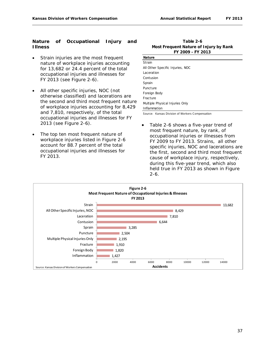#### **Nature of Occupational Injury and Illness**

- Strain injuries are the most frequent nature of workplace injuries accounting for 13,682 or 24.4 percent of the total occupational injuries and illnesses for FY 2013 (see Figure 2-6).
- All other specific injuries, NOC (not otherwise classified) and lacerations are the second and third most frequent nature of workplace injuries accounting for 8,429 and 7,810, respectively, of the total occupational injuries and illnesses for FY 2013 (see Figure 2-6).
- The top ten most frequent nature of workplace injuries listed in Figure 2-6 account for 88.7 percent of the total occupational injuries and illnesses for FY 2013.

**Table 2-6 Most Frequent Nature of Injury by Rank FY 2009 - FY 2013**

| <b>Nature</b>                    |
|----------------------------------|
| Strain                           |
| All Other Specific Injuries, NOC |
| Laceration                       |
| Contusion                        |
| Sprain                           |
| Puncture                         |
| Foreign Body                     |
| Fracture                         |
| Multiple Physical Injuries Only  |
| Inflammation                     |

Source: Kansas Division of Workers Compensation

• Table 2-6 shows a five-year trend of most frequent nature, by rank, of occupational injuries or illnesses from FY 2009 to FY 2013. Strains, all other specific injuries, NOC and lacerations are the first, second and third most frequent cause of workplace injury, respectively, during this five-year trend, which also held true in FY 2013 as shown in Figure 2-6.

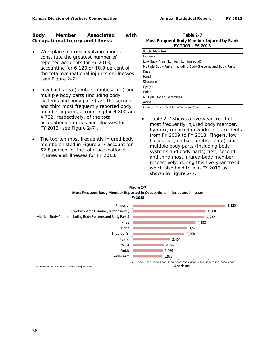#### **Body Member Associated with Occupational Injury and Illness**

- Workplace injuries involving fingers constitute the greatest number of reported accidents for FY 2013, accounting for 6,120 or 10.9 percent of the total occupational injuries or illnesses (see Figure 2-7).
- Low back area (lumbar, lumbosacral) and multiple body parts (including body systems and body parts) are the second and third most frequently reported body member injured, accounting for 4,800 and 4,732, respectively, of the total occupational injuries and illnesses for FY 2013 (see Figure 2-7).
- The top ten most frequently injured body members listed in Figure 2-7 account for 62.8 percent of the total occupational injuries and illnesses for FY 2013.

**Table 2-7 FY 2009 - FY 2013 Most Frequent Body Member Injured by Rank**

| <b>Body Member</b>                                          |
|-------------------------------------------------------------|
| Finger(s)                                                   |
| Low Back Area (Lumbar, Lumbosacral)                         |
| Multiple Body Parts (Including Body Systems and Body Parts) |
| Knee                                                        |
| Hand                                                        |
| Shoulder(s)                                                 |
| Eye(s)                                                      |
| Wrist                                                       |
| Multiple Upper Extremities                                  |
| Ankle                                                       |

Source: Kansas Division of Workers Compensation

Table 2-7 shows a five-year trend of most frequently injured body member, by rank, reported in workplace accidents from FY 2009 to FY 2013. Fingers, low back area (lumbar, lumbrosacral) and multiple body parts (including body systems and body parts) first, second and third most injured body member, respectively, during this five-year trend which also held true in FY 2013 as shown in Figure 2-7.

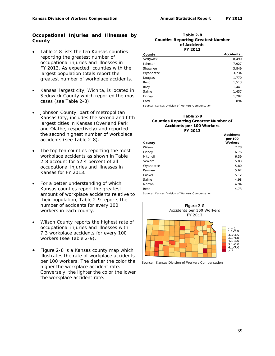#### **Occupational Injuries and Illnesses by County**

- Table 2-8 lists the ten Kansas counties reporting the greatest number of occupational injuries and illnesses in FY 2013. As expected, counties with the largest population totals report the greatest number of workplace accidents.
- Kansas' largest city, Wichita, is located in Sedgwick County which reported the most cases (see Table 2-8).
- Johnson County, part of metropolitan Kansas City, includes the second and fifth largest cities in Kansas (Overland Park and Olathe, respectively) and reported the second highest number of workplace accidents (see Table 2-8).
- The top ten counties reporting the most workplace accidents as shown in Table 2-8 account for 52.4 percent of all occupational injuries and illnesses in Kansas for FY 2013.
- For a better understanding of which Kansas counties report the greatest amount of workplace accidents relative to their population, Table 2-9 reports the number of accidents for every 100 workers in each county.
- Wilson County reports the highest rate of occupational injuries and illnesses with 7.3 workplace accidents for every 100 workers (see Table 2-9).
- Figure 2-8 is a Kansas county map which illustrates the rate of workplace accidents per 100 workers. The darker the color the higher the workplace accident rate. Conversely, the lighter the color the lower the workplace accident rate.

#### **Table 2-8 of Accidents FY 2013 Counties Reporting Greatest Number**

| FI 2013   |                  |  |
|-----------|------------------|--|
| County    | <b>Accidents</b> |  |
| Sedgwick  | 8,490            |  |
| Johnson   | 7,927            |  |
| Shawnee   | 3,849            |  |
| Wyandotte | 3,734            |  |
| Douglas   | 1,770            |  |
| Reno      | 1,513            |  |
| Riley     | 1,441            |  |
| Saline    | 1,437            |  |
| Finney    | 1,282            |  |
| Ford      | 894              |  |

Source: Kansas Division of Workers Compensation

#### **Table 2-9 Counties Reporting Greatest Number of Accidents per 100 Workers FY 2013**

|           | <b>Accidents</b><br>per 100 |
|-----------|-----------------------------|
| County    | <b>Workers</b>              |
| Wilson    | 7.28                        |
| Finney    | 6.76                        |
| Mitchell  | 6.39                        |
| Seward    | 5.83                        |
| Wyandotte | 5.80                        |
| Pawnee    | 5.62                        |
| Haskell   | 5.12                        |
| Saline    | 4.98                        |
| Morton    | 4.94                        |
| Reno      | 4.73                        |



Source: Kansas Division of Workers Compensation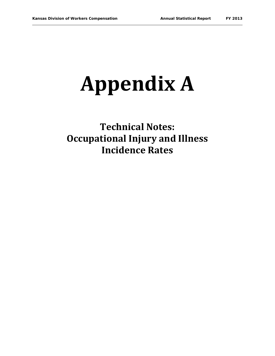# **Appendix A**

**Technical Notes: Occupational Injury and Illness Incidence Rates**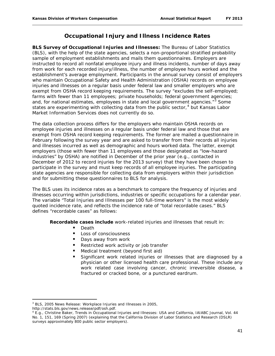# **Occupational Injury and Illness Incidence Rates**

**BLS Survey of Occupational Injuries and Illnesses:** The Bureau of Labor Statistics (BLS), with the help of the state agencies, selects a non-proportional stratified probability sample of employment establishments and mails them questionnaires. Employers are instructed to record all nonfatal employee injury and illness incidents, number of days away from work for each recorded injury/illness, the number of employee hours worked and the establishment's average employment. Participants in the annual survey consist of employers who maintain Occupational Safety and Health Administration (OSHA) records on employee injuries and illnesses on a regular basis under federal law and smaller employers who are exempt from OSHA record keeping requirements. The survey "excludes the self-employed; farms with fewer than 11 employees; private households; federal government agencies; and, for national estimates, employees in state and local government agencies."<sup>[3](#page-41-0)</sup> Some states are experimenting with collecting data from the public sector, $4$  but Kansas Labor Market Information Services does not currently do so.

The data collection process differs for the employers who maintain OSHA records on employee injuries and illnesses on a regular basis under federal law and those that are exempt from OSHA record keeping requirements. The former are mailed a questionnaire in February following the survey year and are asked to transfer from their records all injuries and illnesses incurred as well as demographic and hours worked data. The latter, exempt employers (those with fewer than 11 employees and those designated as "low-hazard industries" by OSHA) are notified in December of the prior year (e.g., contacted in December of 2012 to record injuries for the 2013 survey) that they have been chosen to participate in the survey and must keep records of all employee injuries. The participating state agencies are responsible for collecting data from employers within their jurisdiction and for submitting these questionnaires to BLS for analysis.

The BLS uses its incidence rates as a benchmark to compare the frequency of injuries and illnesses occurring within jurisdictions, industries or specific occupations for a calendar year. The variable "Total Injuries and Illnesses per 100 full-time workers" is the most widely quoted incidence rate, and reflects the incidence rate of "total recordable cases." BLS defines "recordable cases" as follows:

**Recordable cases include** work-related injuries and illnesses that result in:

- **Death**
- Loss of consciousness
- Days away from work
- Restricted work activity or job transfer
- Medical treatment (beyond first aid)
- Significant work related injuries or illnesses that are diagnosed by a physician or other licensed health care professional. These include any work related case involving cancer, chronic irreversible disease, a fractured or cracked bone, or a punctured eardrum.

l

<span id="page-41-0"></span><sup>3</sup> BLS, 2005 News Release: *Workplace Injuries and Illnesses in 2005*,

http://stats.bls.gov/news.release/pdf/osh.pdf.

<span id="page-41-1"></span><sup>4</sup> E.g., Christine Baker, *Trends in Occupational Injuries and Illnesses: USA and California*, IAIABC Journal, Vol. 44 No. 1, 151, 169 (Spring 2007) (explaining that the California Division of Labor Statistics and Research (DSLR) surveys approximately 800 public sector employers).